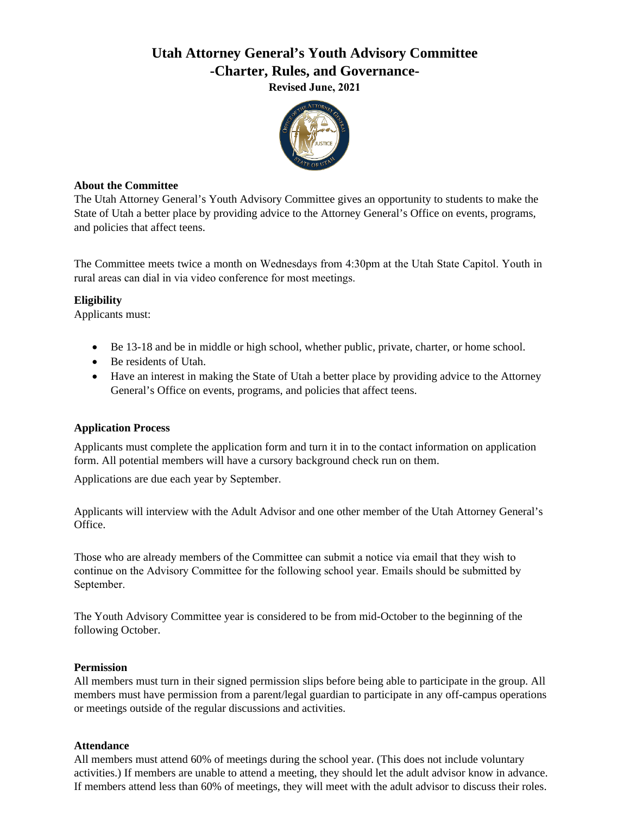# **Utah Attorney General's Youth Advisory Committee -Charter, Rules, and Governance-**

**Revised June, 2021**



#### **About the Committee**

The Utah Attorney General's Youth Advisory Committee gives an opportunity to students to make the State of Utah a better place by providing advice to the Attorney General's Office on events, programs, and policies that affect teens.

The Committee meets twice a month on Wednesdays from 4:30pm at the Utah State Capitol. Youth in rural areas can dial in via video conference for most meetings.

## **Eligibility**

Applicants must:

- Be 13-18 and be in middle or high school, whether public, private, charter, or home school.
- Be residents of Utah.
- Have an interest in making the State of Utah a better place by providing advice to the Attorney General's Office on events, programs, and policies that affect teens.

## **Application Process**

Applicants must complete the application form and turn it in to the contact information on application form. All potential members will have a cursory background check run on them.

Applications are due each year by September.

Applicants will interview with the Adult Advisor and one other member of the Utah Attorney General's Office.

Those who are already members of the Committee can submit a notice via email that they wish to continue on the Advisory Committee for the following school year. Emails should be submitted by September.

The Youth Advisory Committee year is considered to be from mid-October to the beginning of the following October.

## **Permission**

All members must turn in their signed permission slips before being able to participate in the group. All members must have permission from a parent/legal guardian to participate in any off-campus operations or meetings outside of the regular discussions and activities.

## **Attendance**

All members must attend 60% of meetings during the school year. (This does not include voluntary activities.) If members are unable to attend a meeting, they should let the adult advisor know in advance. If members attend less than 60% of meetings, they will meet with the adult advisor to discuss their roles.